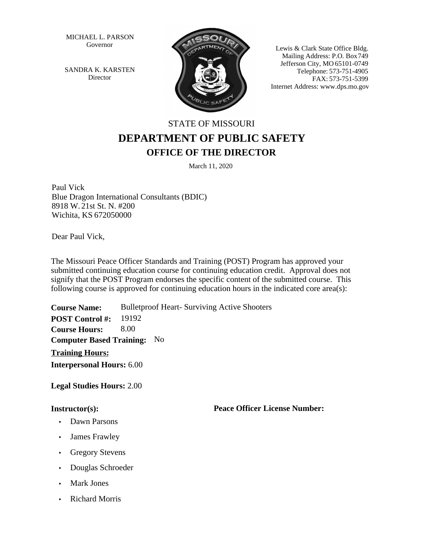MICHAEL L. PARSON Governor

SANDRA K. KARSTEN Director



Lewis & Clark State Office Bldg. Mailing Address: P.O. Box 749 Jefferson City, MO 65101-0749 Telephone: 573-751-4905 FAX: 573-751-5399 Internet Address: www.dps.mo.gov

## STATE OF MISSOURI **DEPARTMENT OF PUBLIC SAFETY OFFICE OF THE DIRECTOR**

March 11, 2020

Paul Vick Blue Dragon International Consultants (BDIC) 8918 W. 21st St. N. #200 Wichita, KS 672050000

Dear Paul Vick,

The Missouri Peace Officer Standards and Training (POST) Program has approved your submitted continuing education course for continuing education credit. Approval does not signify that the POST Program endorses the specific content of the submitted course. This following course is approved for continuing education hours in the indicated core area(s):

**Course Name:** Bulletproof Heart- Surviving Active Shooters **Training Hours:** 19192 8.00 **Interpersonal Hours:** 6.00 **Computer Based Training: No POST Control #: Course Hours:**

**Legal Studies Hours:** 2.00

## **Instructor(s):**

- Dawn Parsons
- James Frawley
- Gregory Stevens
- Douglas Schroeder
- Mark Jones
- Richard Morris

**Peace Officer License Number:**